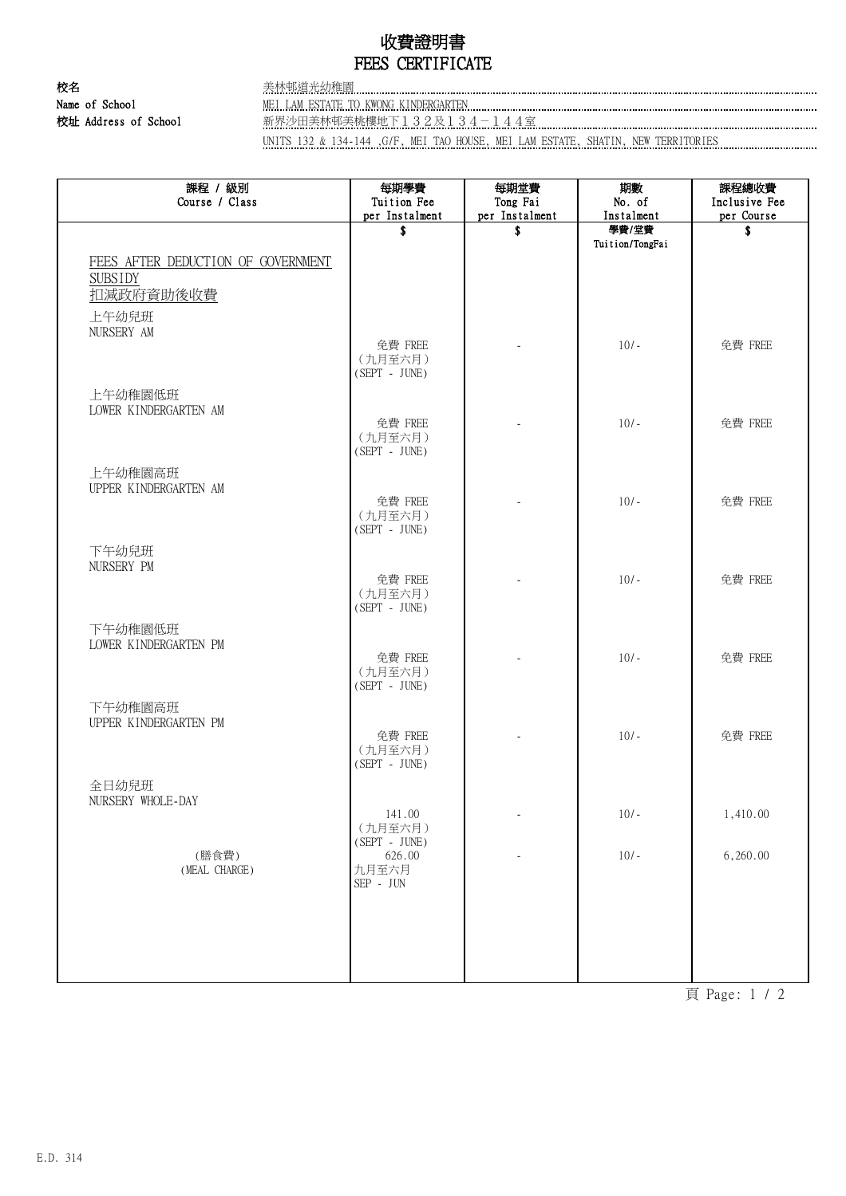# 收費證明書 FEES CERTIFICATE

校名 美林邨道光幼稚園

#### Name of School MEI LAM ESTATE TO KWONG KINDERGARTEN

校址 Address of School 新界沙田美林邨美桃樓地下132及134-144室

UNITS 132 & 134-144 ,G/F, MEI TAO HOUSE, MEI LAM ESTATE, SHATIN, NEW TERRITORIES

| 課程 / 級別<br>Course / Class          | 每期學費<br>Tuition Fee                            | 每期堂費<br>Tong Fai         | 期數<br>No. of             | 課程總收費<br>Inclusive Fee |
|------------------------------------|------------------------------------------------|--------------------------|--------------------------|------------------------|
|                                    | per Instalment                                 | per Instalment           | Instalment               | per Course             |
|                                    | \$                                             | \$                       | 學費/堂費<br>Tuition/TongFai | \$                     |
| FEES AFTER DEDUCTION OF GOVERNMENT |                                                |                          |                          |                        |
| <b>SUBSIDY</b><br>扣减政府資助後收費        |                                                |                          |                          |                        |
| 上午幼兒班<br>NURSERY AM                |                                                |                          |                          |                        |
|                                    | 免費 FREE<br>(九月至六月)<br>$(SEPT - JUNE)$          |                          | $10/-$                   | 免費 FREE                |
| 上午幼稚園低班<br>LOWER KINDERGARTEN AM   |                                                |                          |                          |                        |
|                                    | 免費 FREE<br>(九月至六月)<br>$(SEPT - JUNE)$          | $\overline{\phantom{a}}$ | $10/-$                   | 免費 FREE                |
| 上午幼稚園高班<br>UPPER KINDERGARTEN AM   |                                                |                          |                          |                        |
|                                    | 免費 FREE<br>(九月至六月)<br>$(SEPT - JUNE)$          |                          | $10/-$                   | 免費 FREE                |
| 下午幼兒班<br>NURSERY PM                |                                                |                          |                          |                        |
|                                    | 免費 FREE<br>(九月至六月)<br>$(SEPT - JUNE)$          |                          | $10/-$                   | 免費 FREE                |
| 下午幼稚園低班<br>LOWER KINDERGARTEN PM   |                                                |                          |                          |                        |
|                                    | 免費 FREE<br>(九月至六月)<br>$(SEPT - JUNE)$          | ä,                       | $10/-$                   | 免費 FREE                |
| 下午幼稚園高班<br>UPPER KINDERGARTEN PM   |                                                |                          |                          |                        |
|                                    | 免費 FREE<br>(九月至六月)<br>$(SEPT - JUNE)$          |                          | $10/-$                   | 免費 FREE                |
| 全日幼兒班<br>NURSERY WHOLE-DAY         |                                                |                          |                          |                        |
|                                    | 141.00<br>(九月至六月)<br>$(SEPT - JUNE)$           |                          | $10/-$                   | 1,410.00               |
| (膳食費)<br>(MEAL CHARGE)             | 626.00<br>九月至六月<br>$\mbox{SEP}$ - $\mbox{JUN}$ |                          | $10/-$                   | 6,260.00               |
|                                    |                                                |                          |                          |                        |
|                                    |                                                |                          |                          |                        |
|                                    |                                                |                          |                          |                        |

頁 Page: 1 / 2